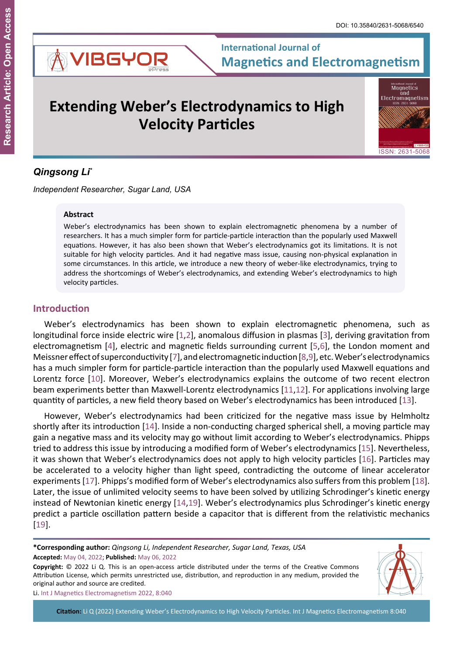

# **Extending Weber's Electrodynamics to High Velocity Particles**

Magnetics and<br>and<br>Electromagnetism ISSN: 2631-5068

## *Qingsong Li\**

*Independent Researcher, Sugar Land, USA*

#### **Abstract**

Weber's electrodynamics has been shown to explain electromagnetic phenomena by a number of researchers. It has a much simpler form for particle-particle interaction than the popularly used Maxwell equations. However, it has also been shown that Weber's electrodynamics got its limitations. It is not suitable for high velocity particles. And it had negative mass issue, causing non-physical explanation in some circumstances. In this article, we introduce a new theory of weber-like electrodynamics, trying to address the shortcomings of Weber's electrodynamics, and extending Weber's electrodynamics to high velocity particles.

## **Introduction**

Weber's electrodynamics has been shown to explain electromagnetic phenomena, such as longitudinal force inside electric wire [[1](#page-8-0),[2](#page-8-1)], anomalous diffusion in plasmas [[3](#page-8-2)], deriving gravitation from electromagnetism [[4\]](#page-8-3), electric and magnetic fields surrounding current [[5](#page-8-4),[6\]](#page-8-5), the London moment and Meissner effect of superconductivity [[7](#page-8-6)], and electromagnetic induction [[8,](#page-8-7)[9](#page-8-8)], etc. Weber's electrodynamics has a much simpler form for particle-particle interaction than the popularly used Maxwell equations and Lorentz force [[10](#page-8-9)]. Moreover, Weber's electrodynamics explains the outcome of two recent electron beam experiments better than Maxwell-Lorentz electrodynamics [[11](#page-8-10),[12](#page-8-11)]. For applications involving large quantity of particles, a new field theory based on Weber's electrodynamics has been introduced [[13](#page-8-12)].

However, Weber's electrodynamics had been criticized for the negative mass issue by Helmholtz shortly after its introduction [[14\]](#page-8-13). Inside a non-conducting charged spherical shell, a moving particle may gain a negative mass and its velocity may go without limit according to Weber's electrodynamics. Phipps tried to address this issue by introducing a modified form of Weber's electrodynamics [[15](#page-8-14)]. Nevertheless, it was shown that Weber's electrodynamics does not apply to high velocity particles [\[16](#page-8-15)]. Particles may be accelerated to a velocity higher than light speed, contradicting the outcome of linear accelerator experiments [[17](#page-8-16)]. Phipps's modified form of Weber's electrodynamics also suffers from this problem [[18](#page-8-17)]. Later, the issue of unlimited velocity seems to have been solved by utilizing Schrodinger's kinetic energy instead of Newtonian kinetic energy [\[14](#page-8-13),[19](#page-8-18)]. Weber's electrodynamics plus Schrodinger's kinetic energy predict a particle oscillation pattern beside a capacitor that is different from the relativistic mechanics [[19](#page-8-18)].

**Accepted:** May 04, 2022; **Published:** May 06, 2022 **\*Corresponding author:** *Qingsong Li, Independent Researcher, Sugar Land, Texas, USA*

**Copyright:** © 2022 Li Q. This is an open-access article distributed under the terms of the Creative Commons Attribution License, which permits unrestricted use, distribution, and reproduction in any medium, provided the original author and source are credited.



Li. Int J Magnetics Electromagnetism 2022, 8:040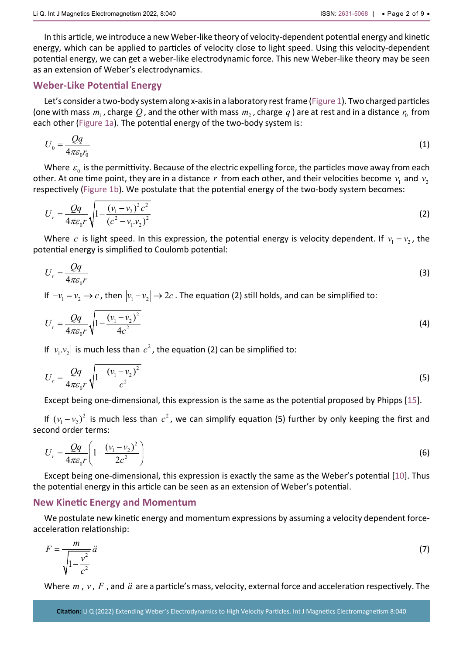In this article, we introduce a new Weber-like theory of velocity-dependent potential energy and kinetic energy, which can be applied to particles of velocity close to light speed. Using this velocity-dependent potential energy, we can get a weber-like electrodynamic force. This new Weber-like theory may be seen as an extension of Weber's electrodynamics.

#### **Weber-Like Potential Energy**

Let's consider a two-body system along x-axis in a laboratory rest frame [\(Figure 1](#page-3-0)). Two charged particles (one with mass  $m_1$ , charge Q, and the other with mass  $m_2$ , charge q) are at rest and in a distance  $r_0$  from each other ([Figure 1a](#page-3-0)). The potential energy of the two-body system is:

$$
U_0 = \frac{Qq}{4\pi\epsilon_0 r_0} \tag{1}
$$

Where  $\varepsilon_0$  is the permittivity. Because of the electric expelling force, the particles move away from each other. At one time point, they are in a distance  $r$  from each other, and their velocities become  $v_1$  and  $v_2$ respectively [\(Figure 1b\)](#page-3-0). We postulate that the potential energy of the two-body system becomes:

$$
U_r = \frac{Qq}{4\pi\varepsilon_0 r} \sqrt{1 - \frac{(v_1 - v_2)^2 c^2}{(c^2 - v_1 v_2)^2}}
$$
 (2)

Where *c* is light speed. In this expression, the potential energy is velocity dependent. If  $v_1 = v_2$ , the potential energy is simplified to Coulomb potential:

$$
U_r = \frac{Qq}{4\pi\varepsilon_0 r} \tag{3}
$$

If  $-v_1 = v_2 \rightarrow c$ , then  $|v_1 - v_2| \rightarrow 2c$ . The equation (2) still holds, and can be simplified to:

$$
U_r = \frac{Qq}{4\pi\varepsilon_0 r} \sqrt{1 - \frac{(v_1 - v_2)^2}{4c^2}}
$$
 (4)

If  $\left| v_{\text{\tiny I}} . v_{\text{\tiny 2}} \right|$  is much less than  $c^2$  , the equation (2) can be simplified to:

$$
U_r = \frac{Qq}{4\pi\varepsilon_0 r} \sqrt{1 - \frac{(v_1 - v_2)^2}{c^2}}
$$
 (5)

Except being one-dimensional, this expression is the same as the potential proposed by Phipps [[15](#page-8-14)].

If  $(v_1 - v_2)^2$  is much less than  $c^2$ , we can simplify equation (5) further by only keeping the first and second order terms:

$$
U_r = \frac{Qq}{4\pi\varepsilon_0 r} \left( 1 - \frac{(v_1 - v_2)^2}{2c^2} \right)
$$
 (6)

Except being one-dimensional, this expression is exactly the same as the Weber's potential [[10](#page-8-9)]. Thus the potential energy in this article can be seen as an extension of Weber's potential.

#### **New Kinetic Energy and Momentum**

We postulate new kinetic energy and momentum expressions by assuming a velocity dependent forceacceleration relationship:

$$
F = \frac{m}{\sqrt{1 - \frac{v^2}{c^2}}} \ddot{a}
$$
 (7)

Where *m*, *v*, *F*, and *ä* are a particle's mass, velocity, external force and acceleration respectively. The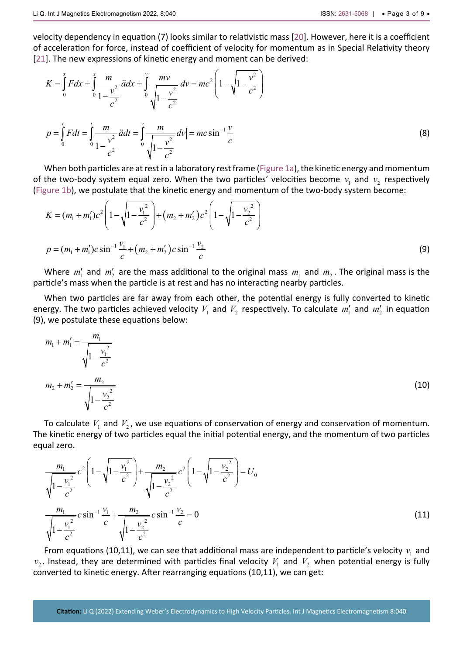velocity dependency in equation (7) looks similar to relativistic mass [[20](#page-8-19)]. However, here it is a coefficient of acceleration for force, instead of coefficient of velocity for momentum as in Special Relativity theory [[21](#page-8-20)]. The new expressions of kinetic energy and moment can be derived:

$$
K = \int_{0}^{x} Fdx = \int_{0}^{x} \frac{m}{1 - \frac{v^2}{c^2}} \, ddx = \int_{0}^{v} \frac{mv}{\sqrt{1 - \frac{v^2}{c^2}}} \, dv = mc^2 \left( 1 - \sqrt{1 - \frac{v^2}{c^2}} \right)
$$
\n
$$
p = \int_{0}^{t} Fdt = \int_{0}^{t} \frac{m}{1 - \frac{v^2}{c^2}} \, ddt = \int_{0}^{v} \frac{m}{\sqrt{1 - \frac{v^2}{c^2}}} \, dv = mc \sin^{-1} \frac{v}{c}
$$
\n(8)

When both particles are at rest in a laboratory rest frame [\(Figure 1a](#page-3-0)), the kinetic energy and momentum of the two-body system equal zero. When the two particles' velocities become  $v_1$  and  $v_2$  respectively ([Figure 1b\)](#page-3-0), we postulate that the kinetic energy and momentum of the two-body system become:

$$
K = (m_1 + m_1')c^2 \left(1 - \sqrt{1 - \frac{v_1^2}{c^2}}\right) + (m_2 + m_2')c^2 \left(1 - \sqrt{1 - \frac{v_2^2}{c^2}}\right)
$$
  

$$
p = (m_1 + m_1')c \sin^{-1} \frac{v_1}{c} + (m_2 + m_2')c \sin^{-1} \frac{v_2}{c}
$$
 (9)

Where  $m'_1$  and  $m'_2$  are the mass additional to the original mass  $m_1$  and  $m_2$ . The original mass is the particle's mass when the particle is at rest and has no interacting nearby particles.

When two particles are far away from each other, the potential energy is fully converted to kinetic energy. The two particles achieved velocity  $V_1$  and  $V_2$  respectively. To calculate  $m'_1$  and  $m'_2$  in equation (9), we postulate these equations below:

$$
m_1 + m_1' = \frac{m_1}{\sqrt{1 - \frac{v_1^2}{c^2}}}
$$
  

$$
m_2 + m_2' = \frac{m_2}{\sqrt{1 - \frac{v_2^2}{c^2}}}
$$
 (10)

To calculate  $V_1$  and  $V_2$ , we use equations of conservation of energy and conservation of momentum. The kinetic energy of two particles equal the initial potential energy, and the momentum of two particles equal zero.

$$
\frac{m_1}{\sqrt{1-\frac{v_1^2}{c^2}}}c^2\left(1-\sqrt{1-\frac{v_1^2}{c^2}}\right)+\frac{m_2}{\sqrt{1-\frac{v_2^2}{c^2}}}c^2\left(1-\sqrt{1-\frac{v_2^2}{c^2}}\right)=U_0
$$
\n
$$
\frac{m_1}{\sqrt{1-\frac{v_1^2}{c^2}}}c\sin^{-1}\frac{v_1}{c}+\frac{m_2}{\sqrt{1-\frac{v_2^2}{c^2}}}c\sin^{-1}\frac{v_2}{c}=0
$$
\n(11)

From equations (10,11), we can see that additional mass are independent to particle's velocity  $v_1$  and  $v_2$ . Instead, they are determined with particles final velocity  $V_1$  and  $V_2$  when potential energy is fully converted to kinetic energy. After rearranging equations (10,11), we can get: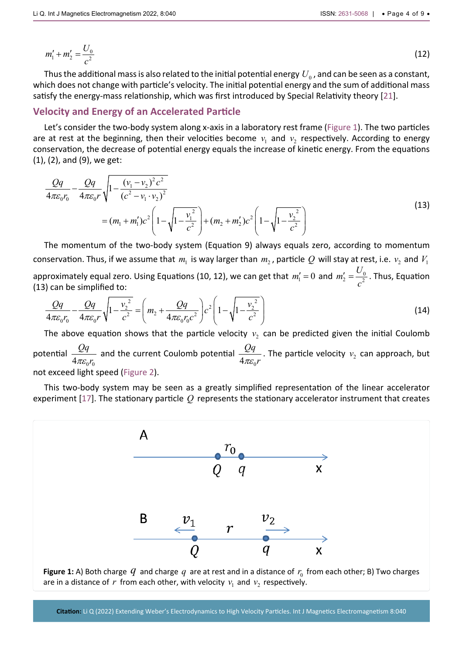$$
m'_1 + m'_2 = \frac{U_0}{c^2} \tag{12}
$$

Thus the additional mass is also related to the initial potential energy  $U_0$ , and can be seen as a constant, which does not change with particle's velocity. The initial potential energy and the sum of additional mass satisfy the energy-mass relationship, which was first introduced by Special Relativity theory [[21](#page-8-20)].

## **Velocity and Energy of an Accelerated Particle**

Let's consider the two-body system along x-axis in a laboratory rest frame ([Figure 1\)](#page-3-0). The two particles are at rest at the beginning, then their velocities become  $v_1$  and  $v_2$  respectively. According to energy conservation, the decrease of potential energy equals the increase of kinetic energy. From the equations (1), (2), and (9), we get:

$$
\frac{Qq}{4\pi\varepsilon_0 r_0} - \frac{Qq}{4\pi\varepsilon_0 r} \sqrt{1 - \frac{(v_1 - v_2)^2 c^2}{(c^2 - v_1 \cdot v_2)^2}}
$$
\n
$$
= (m_1 + m_1')c^2 \left(1 - \sqrt{1 - \frac{v_1^2}{c^2}}\right) + (m_2 + m_2')c^2 \left(1 - \sqrt{1 - \frac{v_2^2}{c^2}}\right)
$$
\n(13)

The momentum of the two-body system (Equation 9) always equals zero, according to momentum conservation. Thus, if we assume that  $m_1$  is way larger than  $m_2$ , particle Q will stay at rest, i.e.  $v_2$  and  $V_1$ approximately equal zero. Using Equations (10, 12), we can get that  $m'_1 = 0$  and  $m'_2 = \frac{C_0}{c^2}$  $m'_2 = \frac{U_0}{c^2}$  . Thus, Equation (13) can be simplified to:

$$
\frac{Qq}{4\pi\varepsilon_0 r_0} - \frac{Qq}{4\pi\varepsilon_0 r} \sqrt{1 - \frac{v_2^2}{c^2}} = \left(m_2 + \frac{Qq}{4\pi\varepsilon_0 r_0 c^2}\right) c^2 \left(1 - \sqrt{1 - \frac{v_2^2}{c^2}}\right)
$$
(14)

The above equation shows that the particle velocity  $v_2$  can be predicted given the initial Coulomb potential  $4\pi\varepsilon_{\text{o}} r_{\text{o}}$ *Qq* πε *r* and the current Coulomb potential  $4\pi\varepsilon_{_0}$ *Qq*  $\frac{\mathcal{L}q}{\pi \varepsilon_0 r}$ . The particle velocity  $v_2$  can approach, but not exceed light speed ([Figure 2](#page-4-0)).

This two-body system may be seen as a greatly simplified representation of the linear accelerator experiment [[17](#page-8-16)]. The stationary particle *Q* represents the stationary accelerator instrument that creates

<span id="page-3-0"></span>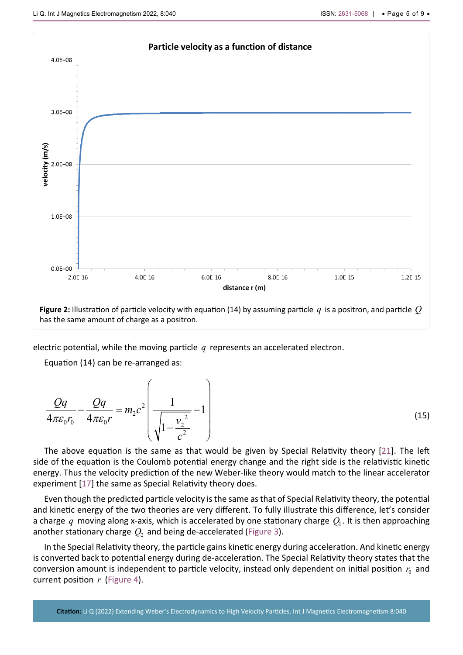<span id="page-4-0"></span>

electric potential, while the moving particle *q* represents an accelerated electron.

Equation (14) can be re-arranged as:

$$
\frac{Qq}{4\pi\varepsilon_0 r_0} - \frac{Qq}{4\pi\varepsilon_0 r} = m_2 c^2 \left( \frac{1}{\sqrt{1 - \frac{v_2^2}{c^2}}} - 1 \right)
$$
\n(15)

The above equation is the same as that would be given by Special Relativity theory [[21](#page-8-20)]. The left side of the equation is the Coulomb potential energy change and the right side is the relativistic kinetic energy. Thus the velocity prediction of the new Weber-like theory would match to the linear accelerator experiment [[17](#page-8-16)] the same as Special Relativity theory does.

Even though the predicted particle velocity is the same as that of Special Relativity theory, the potential and kinetic energy of the two theories are very different. To fully illustrate this difference, let's consider a charge q moving along x-axis, which is accelerated by one stationary charge  $Q_1$ . It is then approaching another stationary charge  $Q_2$  and being de-accelerated [\(Figure 3](#page-5-0)).

In the Special Relativity theory, the particle gains kinetic energy during acceleration. And kinetic energy is converted back to potential energy during de-acceleration. The Special Relativity theory states that the conversion amount is independent to particle velocity, instead only dependent on initial position  $r_0$  and current position *r* ([Figure 4\)](#page-5-1).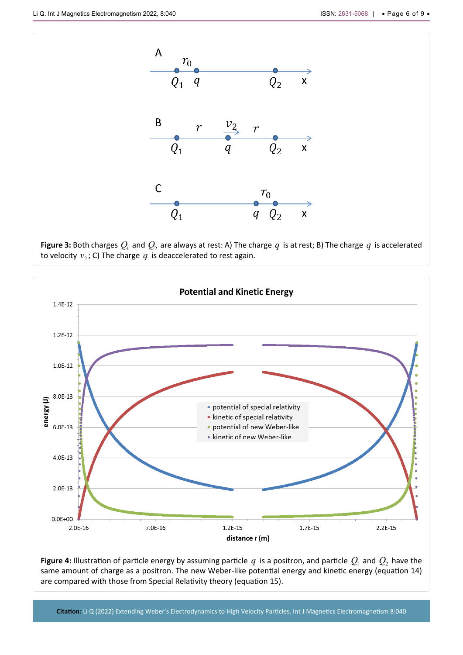<span id="page-5-0"></span>

**Figure 3:** Both charges  $Q_1$  and  $Q_2$  are always at rest: A) The charge  $q$  is at rest; B) The charge  $q$  is accelerated to velocity  $v_2$ ; C) The charge  $q$  is deaccelerated to rest again.

<span id="page-5-1"></span>

**Figure 4:** Illustration of particle energy by assuming particle  $q$  is a positron, and particle  $Q_1$  and  $Q_2$  have the same amount of charge as a positron. The new Weber-like potential energy and kinetic energy (equation 14) are compared with those from Special Relativity theory (equation 15).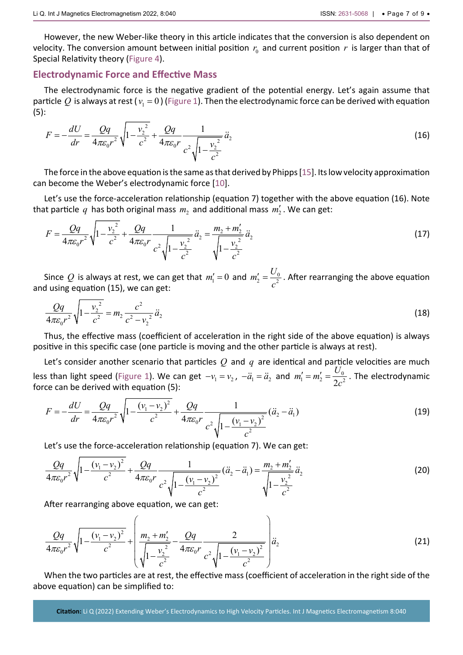## **Electrodynamic Force and Effective Mass**

The electrodynamic force is the negative gradient of the potential energy. Let's again assume that particle  $Q$  is always at rest ( $v_1 = 0$ ) ([Figure 1](#page-3-0)). Then the electrodynamic force can be derived with equation (5):

$$
F = -\frac{dU}{dr} = \frac{Qq}{4\pi\varepsilon_0 r^2} \sqrt{1 - \frac{v_2^2}{c^2} + \frac{Qq}{4\pi\varepsilon_0 r}} \frac{1}{c^2 \sqrt{1 - \frac{v_2^2}{c^2}}} \ddot{a}_2
$$
\n(16)

The force in the above equation is the same as that derived by Phipps [[15](#page-8-14)]. Its low velocity approximation can become the Weber's electrodynamic force [[10](#page-8-9)].

Let's use the force-acceleration relationship (equation 7) together with the above equation (16). Note that particle  $q$  has both original mass  $m_2$  and additional mass  $m_2'$ . We can get:

$$
F = \frac{Qq}{4\pi\varepsilon_0 r^2} \sqrt{1 - \frac{v_2^2}{c^2} + \frac{Qq}{4\pi\varepsilon_0 r}} \frac{1}{c^2 \sqrt{1 - \frac{v_2^2}{c^2}}} \ddot{a}_2 = \frac{m_2 + m_2'}{\sqrt{1 - \frac{v_2^2}{c^2}}} \ddot{a}_2
$$
\n(17)

Since  $Q$  is always at rest, we can get that  $m'_1 = 0$  and  $m'_2 = \frac{Q_0}{\sigma^2}$  $m'_2 = \frac{U_0}{c^2}$ . After rearranging the above equation and using equation (15), we can get:

$$
\frac{Qq}{4\pi\varepsilon_0 r^2} \sqrt{1 - \frac{v_2^2}{c^2}} = m_2 \frac{c^2}{c^2 - v_2^2} \ddot{a}_2
$$
\n(18)

Thus, the effective mass (coefficient of acceleration in the right side of the above equation) is always positive in this specific case (one particle is moving and the other particle is always at rest).

Let's consider anot[her scena](#page-3-0)rio that particles *Q* and *q* are identical and particle velocities are much less than light speed (Figure 1). We can get  $-v_1 = v_2$ ,  $-\ddot{a}_1 = \ddot{a}_2$  and  $m'_1 = m'_2 = \frac{v_0}{2c^2}$ <br>force can be derived with equation (5):  $m'_1 = m'_2 = \frac{U_0}{2c^2}$ . The electrodynamic force can be derived with equation (5):

$$
F = -\frac{dU}{dr} = \frac{Qq}{4\pi\varepsilon_0 r^2} \sqrt{1 - \frac{(v_1 - v_2)^2}{c^2} + \frac{Qq}{4\pi\varepsilon_0 r}} \frac{1}{c^2 \sqrt{1 - \frac{(v_1 - v_2)^2}{c^2}}} (\ddot{a}_2 - \ddot{a}_1)
$$
(19)

Let's use the force-acceleration relationship (equation 7). We can get:

$$
\frac{Qq}{4\pi\varepsilon_0 r^2} \sqrt{1 - \frac{(v_1 - v_2)^2}{c^2} + \frac{Qq}{4\pi\varepsilon_0 r} \frac{1}{c^2 \sqrt{1 - \frac{(v_1 - v_2)^2}{c^2}}} (\ddot{a}_2 - \ddot{a}_1) = \frac{m_2 + m'_2}{\sqrt{1 - \frac{v_2^2}{c^2}}} \ddot{a}_2
$$
\n(20)

After rearranging above equation, we can get:

$$
\frac{Qq}{4\pi\varepsilon_0 r^2} \sqrt{1 - \frac{(v_1 - v_2)^2}{c^2}} + \left( \frac{m_2 + m_2'}{\sqrt{1 - \frac{v_2^2}{c^2}}} - \frac{Qq}{4\pi\varepsilon_0 r} \frac{2}{c^2 \sqrt{1 - \frac{(v_1 - v_2)^2}{c^2}}} \right) \ddot{a}_2
$$
\n(21)

When the two particles are at rest, the effective mass (coefficient of acceleration in the right side of the above equation) can be simplified to: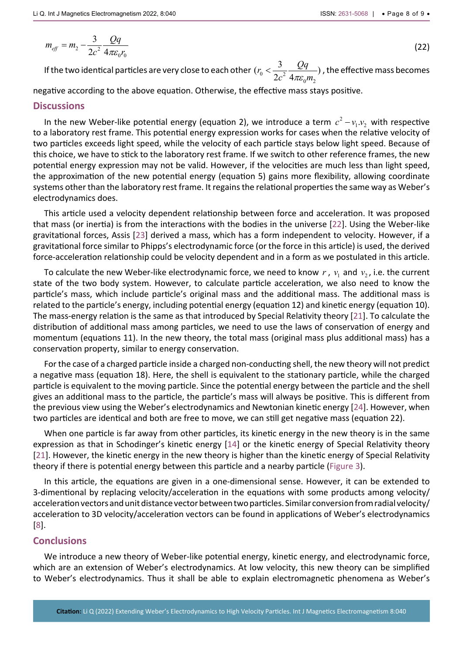$$
m_{\text{eff}} = m_2 - \frac{3}{2c^2} \frac{Qq}{4\pi \varepsilon_0 r_0} \tag{22}
$$

If the two identical particles are very close to each other  $(r_0 < \frac{3}{2\sigma^2})$  $(r_0 < \frac{3}{2c^2} \frac{Qq}{4\pi \varepsilon_0 m_2})$  $c^2$   $4\pi\varepsilon_{0}$ m  $\langle \frac{3}{2}, \frac{24}{4} \rangle$ , the effective mass becomes

negative according to the above equation. Otherwise, the effective mass stays positive.

#### **Discussions**

In the new Weber-like potential energy (equation 2), we introduce a term  $c^2 - v_1.v_2$  with respective to a laboratory rest frame. This potential energy expression works for cases when the relative velocity of two particles exceeds light speed, while the velocity of each particle stays below light speed. Because of this choice, we have to stick to the laboratory rest frame. If we switch to other reference frames, the new potential energy expression may not be valid. However, if the velocities are much less than light speed, the approximation of the new potential energy (equation 5) gains more flexibility, allowing coordinate systems other than the laboratory rest frame. It regains the relational properties the same way as Weber's electrodynamics does.

This article used a velocity dependent relationship between force and acceleration. It was proposed that mass (or inertia) is from the interactions with the bodies in the universe [[22](#page-8-21)]. Using the Weber-like gravitational forces, Assis [[23](#page-8-22)] derived a mass, which has a form independent to velocity. However, if a gravitational force similar to Phipps's electrodynamic force (or the force in this article) is used, the derived force-acceleration relationship could be velocity dependent and in a form as we postulated in this article.

To calculate the new Weber-like electrodynamic force, we need to know  $r$ ,  $v_1$  and  $v_2$ , i.e. the current state of the two body system. However, to calculate particle acceleration, we also need to know the particle's mass, which include particle's original mass and the additional mass. The additional mass is related to the particle's energy, including potential energy (equation 12) and kinetic energy (equation 10). The mass-energy relation is the same as that introduced by Special Relativity theory [[21](#page-8-20)]. To calculate the distribution of additional mass among particles, we need to use the laws of conservation of energy and momentum (equations 11). In the new theory, the total mass (original mass plus additional mass) has a conservation property, similar to energy conservation.

For the case of a charged particle inside a charged non-conducting shell, the new theory will not predict a negative mass (equation 18). Here, the shell is equivalent to the stationary particle, while the charged particle is equivalent to the moving particle. Since the potential energy between the particle and the shell gives an additional mass to the particle, the particle's mass will always be positive. This is different from the previous view using the Weber's electrodynamics and Newtonian kinetic energy [[24](#page-8-23)]. However, when two particles are identical and both are free to move, we can still get negative mass (equation 22).

When one particle is far away from other particles, its kinetic energy in the new theory is in the same expression as that in Schodinger's kinetic energy [\[14\]](#page-8-13) or the kinetic energy of Special Relativity theory [[21](#page-8-20)]. However, the kinetic energy in the new theory is higher than the kinetic energy of Special Relativity theory if there is potential energy between this particle and a nearby particle ([Figure 3](#page-5-0)).

In this article, the equations are given in a one-dimensional sense. However, it can be extended to 3-dimentional by replacing velocity/acceleration in the equations with some products among velocity/ acceleration vectors and unit distance vector between two particles. Similar conversion from radial velocity/ acceleration to 3D velocity/acceleration vectors can be found in applications of Weber's electrodynamics [\[8](#page-8-7)].

#### **Conclusions**

We introduce a new theory of Weber-like potential energy, kinetic energy, and electrodynamic force, which are an extension of Weber's electrodynamics. At low velocity, this new theory can be simplified to Weber's electrodynamics. Thus it shall be able to explain electromagnetic phenomena as Weber's